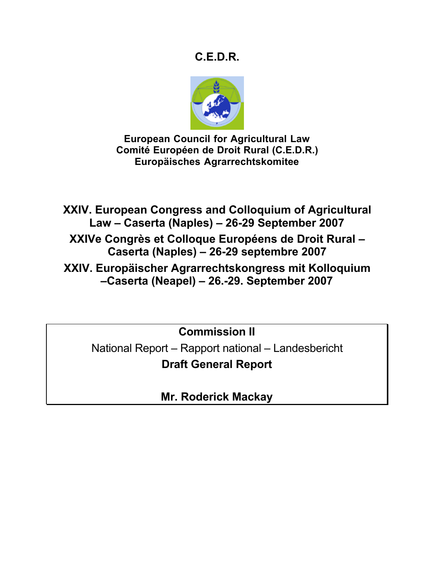# **C.E.D.R.**



**European Council for Agricultural Law Comité Européen de Droit Rural (C.E.D.R.) Europäisches Agrarrechtskomitee**

**XXIV. European Congress and Colloquium of Agricultural Law – Caserta (Naples) – 26-29 September 2007**

**XXIVe Congrès et Colloque Européens de Droit Rural – Caserta (Naples) – 26-29 septembre 2007**

**XXIV. Europäischer Agrarrechtskongress mit Kolloquium –Caserta (Neapel) – 26.-29. September 2007**

**Commission II**

National Report – Rapport national – Landesbericht **Draft General Report**

**Mr. Roderick Mackay**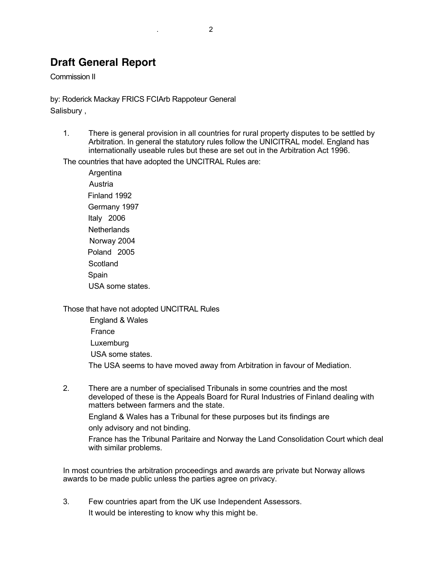# **Draft General Report**

Commission II

by: Roderick Mackay FRICS FCIArb Rappoteur General Salisbury ,

1. There is general provision in all countries for rural property disputes to be settled by Arbitration. In general the statutory rules follow the UNICITRAL model. England has internationally useable rules but these are set out in the Arbitration Act 1996.

The countries that have adopted the UNCITRAL Rules are:

 Argentina Austria Finland 1992 Germany 1997 Italy 2006 **Netherlands**  Norway 2004 Poland 2005 **Scotland**  Spain USA some states.

Those that have not adopted UNCITRAL Rules

 England & Wales France Luxemburg USA some states. The USA seems to have moved away from Arbitration in favour of Mediation.

2. There are a number of specialised Tribunals in some countries and the most developed of these is the Appeals Board for Rural Industries of Finland dealing with matters between farmers and the state.

England & Wales has a Tribunal for these purposes but its findings are

only advisory and not binding.

France has the Tribunal Paritaire and Norway the Land Consolidation Court which deal with similar problems.

In most countries the arbitration proceedings and awards are private but Norway allows awards to be made public unless the parties agree on privacy.

3. Few countries apart from the UK use Independent Assessors. It would be interesting to know why this might be.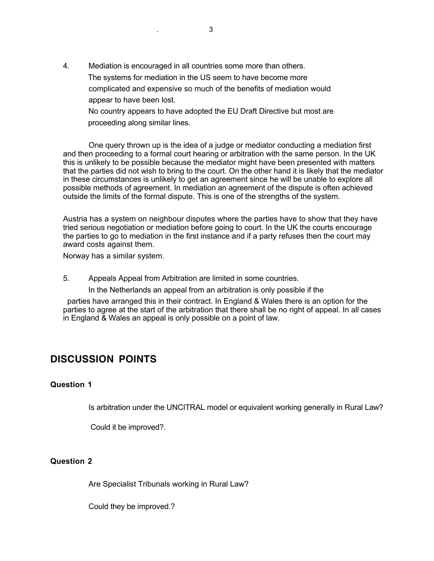4. Mediation is encouraged in all countries some more than others. The systems for mediation in the US seem to have become more complicated and expensive so much of the benefits of mediation would appear to have been lost.

 No country appears to have adopted the EU Draft Directive but most are proceeding along similar lines.

 One query thrown up is the idea of a judge or mediator conducting a mediation first and then proceeding to a formal court hearing or arbitration with the same person. In the UK this is unlikely to be possible because the mediator might have been presented with matters that the parties did not wish to bring to the court. On the other hand it is likely that the mediator in these circumstances is unlikely to get an agreement since he will be unable to explore all possible methods of agreement. In mediation an agreement of the dispute is often achieved outside the limits of the formal dispute. This is one of the strengths of the system.

Austria has a system on neighbour disputes where the parties have to show that they have tried serious negotiation or mediation before going to court. In the UK the courts encourage the parties to go to mediation in the first instance and if a party refuses then the court may award costs against them.

Norway has a similar system.

5. Appeals Appeal from Arbitration are limited in some countries.

In the Netherlands an appeal from an arbitration is only possible if the

 parties have arranged this in their contract. In England & Wales there is an option for the parties to agree at the start of the arbitration that there shall be no right of appeal. In all cases in England & Wales an appeal is only possible on a point of law.

# **DISCUSSION POINTS**

#### **Question 1**

Is arbitration under the UNCITRAL model or equivalent working generally in Rural Law?

Could it be improved?.

## **Question 2**

Are Specialist Tribunals working in Rural Law?

Could they be improved.?